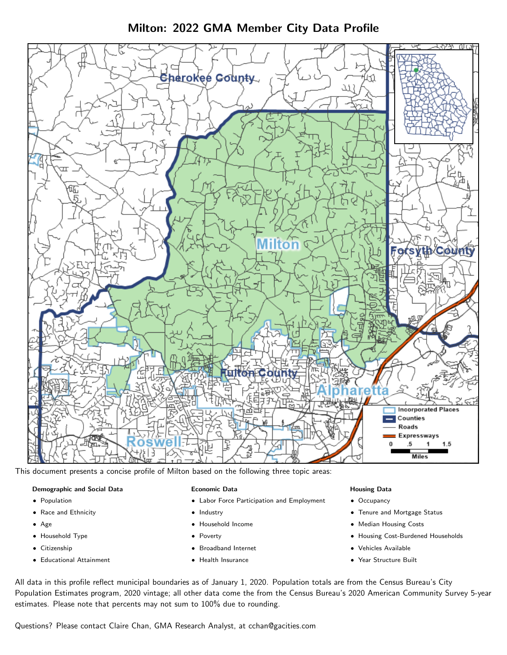Milton: 2022 GMA Member City Data Profile



This document presents a concise profile of Milton based on the following three topic areas:

### Demographic and Social Data

- **•** Population
- Race and Ethnicity
- Age
- Household Type
- **Citizenship**
- Educational Attainment

#### Economic Data

- Labor Force Participation and Employment
- Industry
- Household Income
- Poverty
- Broadband Internet
- Health Insurance

#### Housing Data

- Occupancy
- Tenure and Mortgage Status
- Median Housing Costs
- Housing Cost-Burdened Households
- Vehicles Available
- Year Structure Built

All data in this profile reflect municipal boundaries as of January 1, 2020. Population totals are from the Census Bureau's City Population Estimates program, 2020 vintage; all other data come the from the Census Bureau's 2020 American Community Survey 5-year estimates. Please note that percents may not sum to 100% due to rounding.

Questions? Please contact Claire Chan, GMA Research Analyst, at [cchan@gacities.com.](mailto:cchan@gacities.com)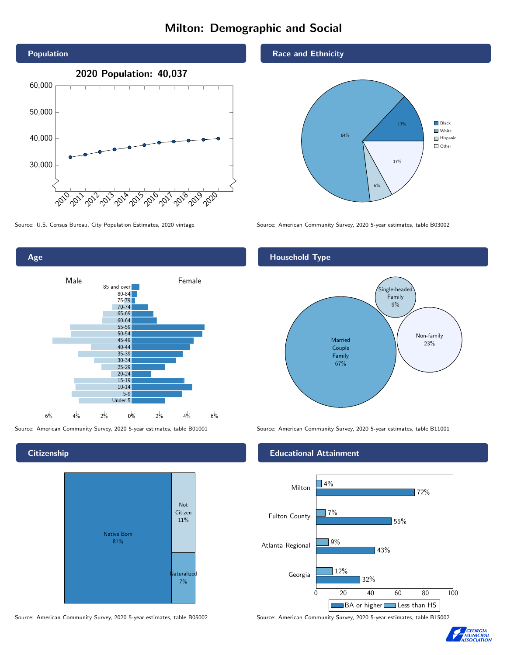# Milton: Demographic and Social





**Citizenship** 



Source: American Community Survey, 2020 5-year estimates, table B05002 Source: American Community Survey, 2020 5-year estimates, table B15002

Race and Ethnicity



Source: U.S. Census Bureau, City Population Estimates, 2020 vintage Source: American Community Survey, 2020 5-year estimates, table B03002

## Household Type



Source: American Community Survey, 2020 5-year estimates, table B01001 Source: American Community Survey, 2020 5-year estimates, table B11001

### Educational Attainment



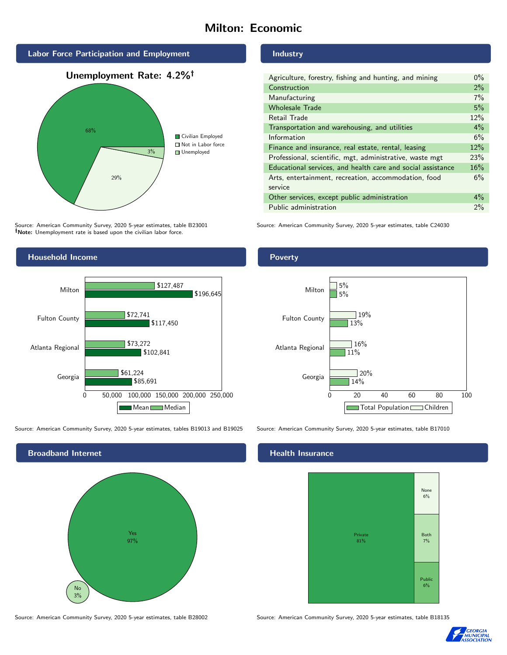# Milton: Economic



Source: American Community Survey, 2020 5-year estimates, table B23001 Note: Unemployment rate is based upon the civilian labor force.

## Household Income



Source: American Community Survey, 2020 5-year estimates, tables B19013 and B19025 Source: American Community Survey, 2020 5-year estimates, table B17010



Source: American Community Survey, 2020 5-year estimates, table B28002 Source: American Community Survey, 2020 5-year estimates, table B18135

#### Industry

| Agriculture, forestry, fishing and hunting, and mining      | $0\%$ |
|-------------------------------------------------------------|-------|
| Construction                                                | 2%    |
| Manufacturing                                               | 7%    |
| <b>Wholesale Trade</b>                                      | 5%    |
| Retail Trade                                                | 12%   |
| Transportation and warehousing, and utilities               | $4\%$ |
| Information                                                 | 6%    |
| Finance and insurance, real estate, rental, leasing         | 12%   |
| Professional, scientific, mgt, administrative, waste mgt    | 23%   |
| Educational services, and health care and social assistance | 16%   |
| Arts, entertainment, recreation, accommodation, food        | 6%    |
| service                                                     |       |
| Other services, except public administration                | $4\%$ |
| Public administration                                       | 2%    |

Source: American Community Survey, 2020 5-year estimates, table C24030

## Poverty



## **Health Insurance**